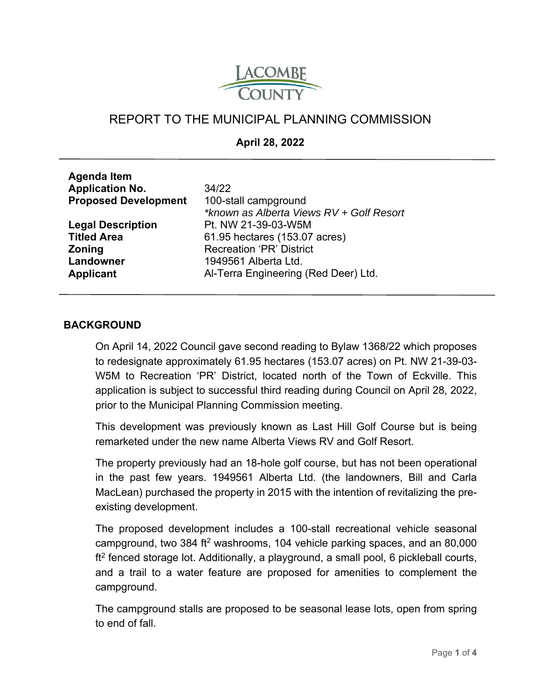

# REPORT TO THE MUNICIPAL PLANNING COMMISSION

**April 28, 2022** 

| <b>Agenda Item</b>          |                                          |
|-----------------------------|------------------------------------------|
| <b>Application No.</b>      | 34/22                                    |
| <b>Proposed Development</b> | 100-stall campground                     |
|                             | *known as Alberta Views RV + Golf Resort |
| <b>Legal Description</b>    | Pt. NW 21-39-03-W5M                      |
| <b>Titled Area</b>          | 61.95 hectares (153.07 acres)            |
| <b>Zoning</b>               | <b>Recreation 'PR' District</b>          |
| Landowner                   | 1949561 Alberta Ltd.                     |
| Applicant                   | Al-Terra Engineering (Red Deer) Ltd.     |
|                             |                                          |

#### **BACKGROUND**

On April 14, 2022 Council gave second reading to Bylaw 1368/22 which proposes to redesignate approximately 61.95 hectares (153.07 acres) on Pt. NW 21-39-03- W5M to Recreation 'PR' District, located north of the Town of Eckville. This application is subject to successful third reading during Council on April 28, 2022, prior to the Municipal Planning Commission meeting.

This development was previously known as Last Hill Golf Course but is being remarketed under the new name Alberta Views RV and Golf Resort.

The property previously had an 18-hole golf course, but has not been operational in the past few years. 1949561 Alberta Ltd. (the landowners, Bill and Carla MacLean) purchased the property in 2015 with the intention of revitalizing the preexisting development.

The proposed development includes a 100-stall recreational vehicle seasonal campground, two 384 ft<sup>2</sup> washrooms, 104 vehicle parking spaces, and an 80,000  $ft<sup>2</sup>$  fenced storage lot. Additionally, a playground, a small pool, 6 pickleball courts, and a trail to a water feature are proposed for amenities to complement the campground.

The campground stalls are proposed to be seasonal lease lots, open from spring to end of fall.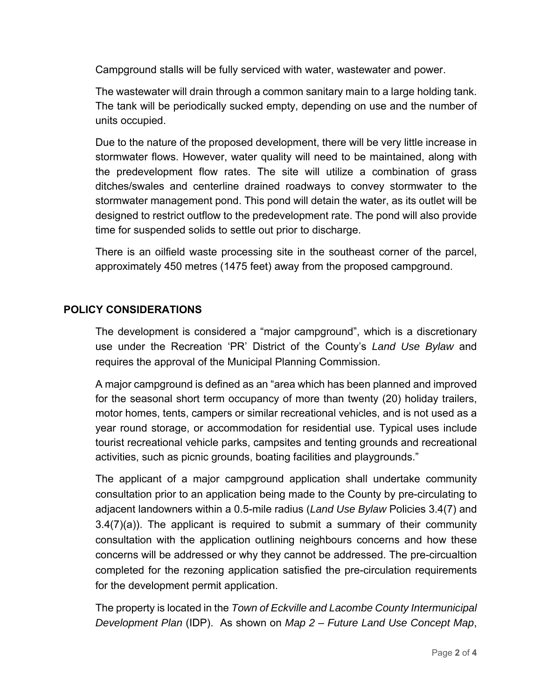Campground stalls will be fully serviced with water, wastewater and power.

The wastewater will drain through a common sanitary main to a large holding tank. The tank will be periodically sucked empty, depending on use and the number of units occupied.

Due to the nature of the proposed development, there will be very little increase in stormwater flows. However, water quality will need to be maintained, along with the predevelopment flow rates. The site will utilize a combination of grass ditches/swales and centerline drained roadways to convey stormwater to the stormwater management pond. This pond will detain the water, as its outlet will be designed to restrict outflow to the predevelopment rate. The pond will also provide time for suspended solids to settle out prior to discharge.

There is an oilfield waste processing site in the southeast corner of the parcel, approximately 450 metres (1475 feet) away from the proposed campground.

# **POLICY CONSIDERATIONS**

The development is considered a "major campground", which is a discretionary use under the Recreation 'PR' District of the County's *Land Use Bylaw* and requires the approval of the Municipal Planning Commission.

A major campground is defined as an "area which has been planned and improved for the seasonal short term occupancy of more than twenty (20) holiday trailers, motor homes, tents, campers or similar recreational vehicles, and is not used as a year round storage, or accommodation for residential use. Typical uses include tourist recreational vehicle parks, campsites and tenting grounds and recreational activities, such as picnic grounds, boating facilities and playgrounds."

The applicant of a major campground application shall undertake community consultation prior to an application being made to the County by pre-circulating to adjacent landowners within a 0.5-mile radius (*Land Use Bylaw* Policies 3.4(7) and  $3.4(7)(a)$ ). The applicant is required to submit a summary of their community consultation with the application outlining neighbours concerns and how these concerns will be addressed or why they cannot be addressed. The pre-circualtion completed for the rezoning application satisfied the pre-circulation requirements for the development permit application.

The property is located in the *Town of Eckville and Lacombe County Intermunicipal Development Plan* (IDP). As shown on *Map 2 – Future Land Use Concept Map*,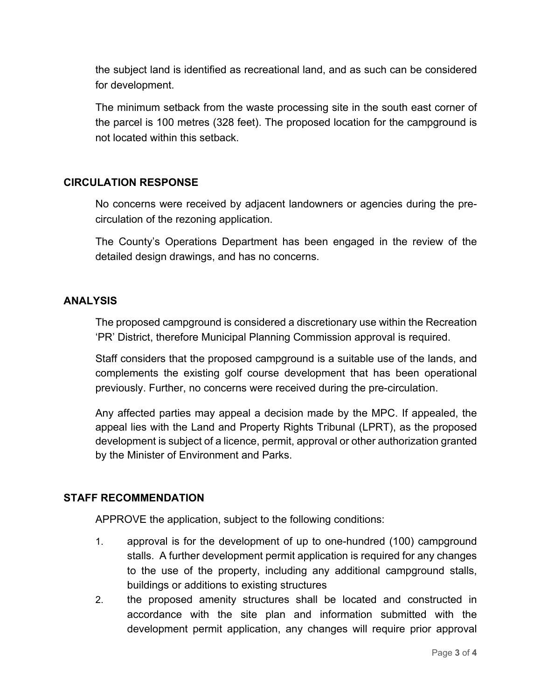the subject land is identified as recreational land, and as such can be considered for development.

The minimum setback from the waste processing site in the south east corner of the parcel is 100 metres (328 feet). The proposed location for the campground is not located within this setback.

## **CIRCULATION RESPONSE**

No concerns were received by adjacent landowners or agencies during the precirculation of the rezoning application.

The County's Operations Department has been engaged in the review of the detailed design drawings, and has no concerns.

#### **ANALYSIS**

The proposed campground is considered a discretionary use within the Recreation 'PR' District, therefore Municipal Planning Commission approval is required.

Staff considers that the proposed campground is a suitable use of the lands, and complements the existing golf course development that has been operational previously. Further, no concerns were received during the pre-circulation.

Any affected parties may appeal a decision made by the MPC. If appealed, the appeal lies with the Land and Property Rights Tribunal (LPRT), as the proposed development is subject of a licence, permit, approval or other authorization granted by the Minister of Environment and Parks.

## **STAFF RECOMMENDATION**

APPROVE the application, subject to the following conditions:

- 1. approval is for the development of up to one-hundred (100) campground stalls. A further development permit application is required for any changes to the use of the property, including any additional campground stalls, buildings or additions to existing structures
- 2. the proposed amenity structures shall be located and constructed in accordance with the site plan and information submitted with the development permit application, any changes will require prior approval